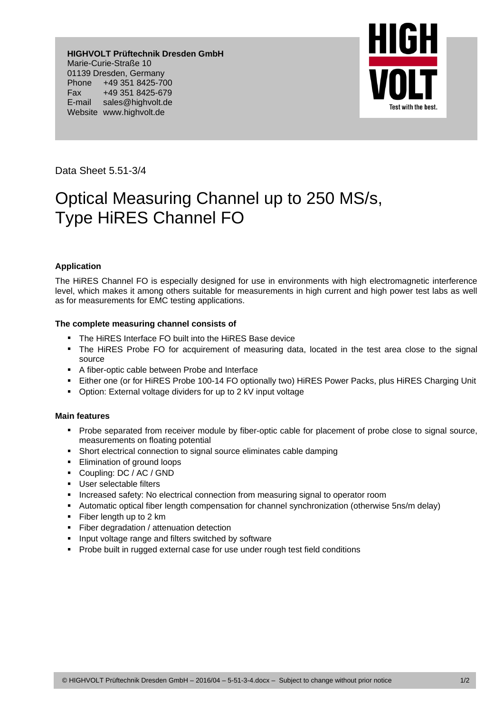**HIGHVOLT Prüftechnik Dresden GmbH**  Marie-Curie-Straße 10 01139 Dresden, Germany Phone +49 351 8425-700 Fax +49 351 8425-679 E-mail sales@highvolt.de Website www.highvolt.de



Data Sheet 5.51-3/4

## Optical Measuring Channel up to 250 MS/s, Type HiRES Channel FO

## **Application**

The HiRES Channel FO is especially designed for use in environments with high electromagnetic interference level, which makes it among others suitable for measurements in high current and high power test labs as well as for measurements for EMC testing applications.

## **The complete measuring channel consists of**

- **The HiRES Interface FO built into the HiRES Base device**
- The HiRES Probe FO for acquirement of measuring data, located in the test area close to the signal source
- A fiber-optic cable between Probe and Interface
- Either one (or for HiRES Probe 100-14 FO optionally two) HiRES Power Packs, plus HiRES Charging Unit
- Option: External voltage dividers for up to 2 kV input voltage

## **Main features**

- **Probe separated from receiver module by fiber-optic cable for placement of probe close to signal source,** measurements on floating potential
- Short electrical connection to signal source eliminates cable damping
- **Elimination of ground loops**
- Coupling: DC / AC / GND
- **User selectable filters**
- **Increased safety: No electrical connection from measuring signal to operator room**
- Automatic optical fiber length compensation for channel synchronization (otherwise 5ns/m delay)
- **Fiber length up to 2 km**
- **Fiber degradation / attenuation detection**
- **Input voltage range and filters switched by software**
- **Probe built in rugged external case for use under rough test field conditions**